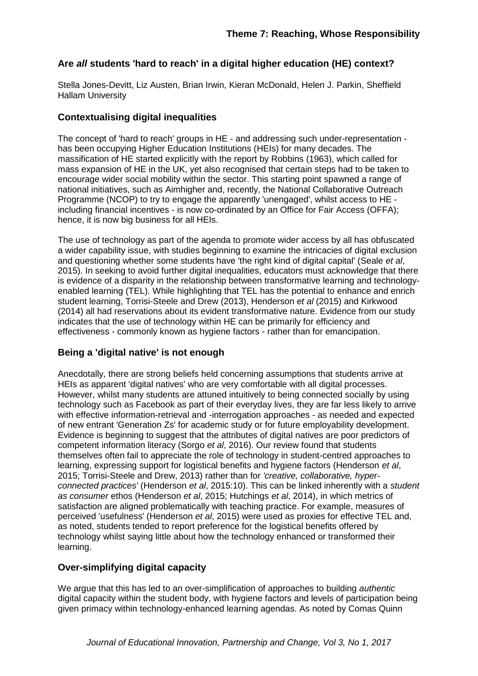# **Are** *all* **students 'hard to reach' in a digital higher education (HE) context?**

Stella Jones-Devitt, Liz Austen, Brian Irwin, Kieran McDonald, Helen J. Parkin, Sheffield Hallam University

# **Contextualising digital inequalities**

The concept of 'hard to reach' groups in HE - and addressing such under-representation has been occupying Higher Education Institutions (HEIs) for many decades. The massification of HE started explicitly with the report by Robbins (1963), which called for mass expansion of HE in the UK, yet also recognised that certain steps had to be taken to encourage wider social mobility within the sector. This starting point spawned a range of national initiatives, such as Aimhigher and, recently, the National Collaborative Outreach Programme (NCOP) to try to engage the apparently 'unengaged', whilst access to HE including financial incentives - is now co-ordinated by an Office for Fair Access (OFFA); hence, it is now big business for all HEIs.

The use of technology as part of the agenda to promote wider access by all has obfuscated a wider capability issue, with studies beginning to examine the intricacies of digital exclusion and questioning whether some students have 'the right kind of digital capital' (Seale *et al*, 2015). In seeking to avoid further digital inequalities, educators must acknowledge that there is evidence of a disparity in the relationship between transformative learning and technologyenabled learning (TEL). While highlighting that TEL has the potential to enhance and enrich student learning, Torrisi-Steele and Drew (2013), Henderson *et al* (2015) and Kirkwood (2014) all had reservations about its evident transformative nature. Evidence from our study indicates that the use of technology within HE can be primarily for efficiency and effectiveness - commonly known as hygiene factors - rather than for emancipation.

## **Being a 'digital native' is not enough**

Anecdotally, there are strong beliefs held concerning assumptions that students arrive at HEIs as apparent 'digital natives' who are very comfortable with all digital processes. However, whilst many students are attuned intuitively to being connected socially by using technology such as Facebook as part of their everyday lives, they are far less likely to arrive with effective information-retrieval and -interrogation approaches - as needed and expected of new entrant 'Generation Zs' for academic study or for future employability development. Evidence is beginning to suggest that the attributes of digital natives are poor predictors of competent information literacy (Sorgo *et al*, 2016). Our review found that students themselves often fail to appreciate the role of technology in student-centred approaches to learning, expressing support for logistical benefits and hygiene factors (Henderson *et al*, 2015; Torrisi-Steele and Drew, 2013) rather than for *'creative, collaborative, hyperconnected practices'* (Henderson *et al*, 2015:10). This can be linked inherently with a *student as consumer* ethos (Henderson *et al*, 2015; Hutchings *et al*, 2014), in which metrics of satisfaction are aligned problematically with teaching practice. For example, measures of perceived 'usefulness' (Henderson *et al*, 2015) were used as proxies for effective TEL and, as noted, students tended to report preference for the logistical benefits offered by technology whilst saying little about how the technology enhanced or transformed their learning.

## **Over-simplifying digital capacity**

We arque that this has led to an over-simplification of approaches to building *authentic* digital capacity within the student body, with hygiene factors and levels of participation being given primacy within technology-enhanced learning agendas. As noted by Comas Quinn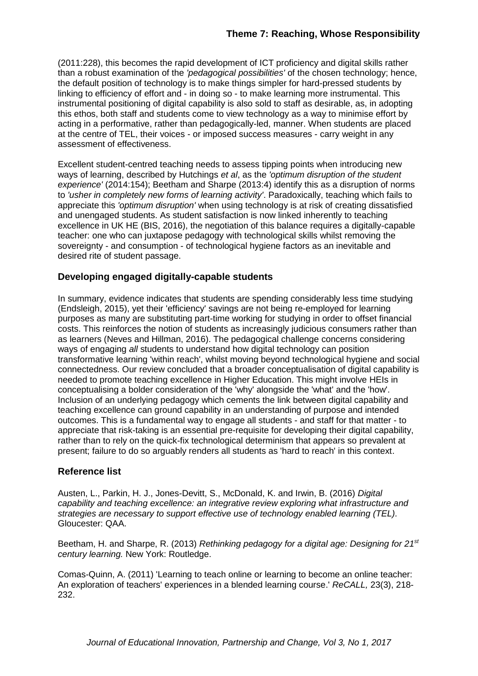(2011:228), this becomes the rapid development of ICT proficiency and digital skills rather than a robust examination of the *'pedagogical possibilities'* of the chosen technology; hence, the default position of technology is to make things simpler for hard-pressed students by linking to efficiency of effort and - in doing so - to make learning more instrumental. This instrumental positioning of digital capability is also sold to staff as desirable, as, in adopting this ethos, both staff and students come to view technology as a way to minimise effort by acting in a performative, rather than pedagogically-led, manner. When students are placed at the centre of TEL, their voices - or imposed success measures - carry weight in any assessment of effectiveness.

Excellent student-centred teaching needs to assess tipping points when introducing new ways of learning, described by Hutchings *et al*, as the *'optimum disruption of the student experience'* (2014:154); Beetham and Sharpe (2013:4) identify this as a disruption of norms to *'usher in completely new forms of learning activity'*. Paradoxically, teaching which fails to appreciate this *'optimum disruption'* when using technology is at risk of creating dissatisfied and unengaged students. As student satisfaction is now linked inherently to teaching excellence in UK HE (BIS, 2016), the negotiation of this balance requires a digitally-capable teacher: one who can juxtapose pedagogy with technological skills whilst removing the sovereignty - and consumption - of technological hygiene factors as an inevitable and desired rite of student passage.

#### **Developing engaged digitally-capable students**

In summary, evidence indicates that students are spending considerably less time studying (Endsleigh, 2015), yet their 'efficiency' savings are not being re-employed for learning purposes as many are substituting part-time working for studying in order to offset financial costs. This reinforces the notion of students as increasingly judicious consumers rather than as learners (Neves and Hillman, 2016). The pedagogical challenge concerns considering ways of engaging *all* students to understand how digital technology can position transformative learning 'within reach', whilst moving beyond technological hygiene and social connectedness. Our review concluded that a broader conceptualisation of digital capability is needed to promote teaching excellence in Higher Education. This might involve HEIs in conceptualising a bolder consideration of the 'why' alongside the 'what' and the 'how'. Inclusion of an underlying pedagogy which cements the link between digital capability and teaching excellence can ground capability in an understanding of purpose and intended outcomes. This is a fundamental way to engage all students - and staff for that matter - to appreciate that risk-taking is an essential pre-requisite for developing their digital capability, rather than to rely on the quick-fix technological determinism that appears so prevalent at present; failure to do so arguably renders all students as 'hard to reach' in this context.

#### **Reference list**

Austen, L., Parkin, H. J., Jones-Devitt, S., McDonald, K. and Irwin, B. (2016) *Digital capability and teaching excellence: an integrative review exploring what infrastructure and strategies are necessary to support effective use of technology enabled learning (TEL).* Gloucester: QAA.

Beetham, H. and Sharpe, R. (2013) *Rethinking pedagogy for a digital age: Designing for 21st century learning.* New York: Routledge.

Comas-Quinn, A. (2011) 'Learning to teach online or learning to become an online teacher: An exploration of teachers' experiences in a blended learning course.' *ReCALL,* 23(3), 218- 232.